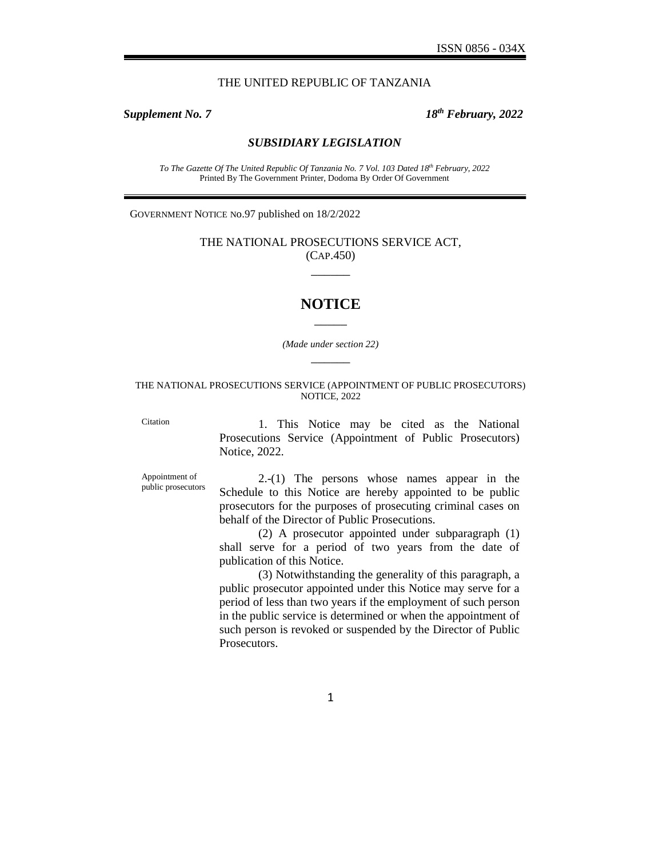### THE UNITED REPUBLIC OF TANZANIA

*GN. No. 97 (Contd.)*

*Supplement No. 7 18th February, 2022*

#### *SUBSIDIARY LEGISLATION*

*To The Gazette Of The United Republic Of Tanzania No. 7 Vol. 103 Dated 18th February, 2022* Printed By The Government Printer, Dodoma By Order Of Government

GOVERNMENT NOTICE No.97 published on 18/2/2022

THE NATIONAL PROSECUTIONS SERVICE ACT, (CAP.450)  $\overline{\phantom{a}}$ 

# **NOTICE** \_\_\_\_\_

*(Made under section 22)*  $\overline{\phantom{a}}$ 

#### THE NATIONAL PROSECUTIONS SERVICE (APPOINTMENT OF PUBLIC PROSECUTORS) NOTICE, 2022

Citation 1. This Notice may be cited as the National Prosecutions Service (Appointment of Public Prosecutors) Notice, 2022.

Appointment of public prosecutors

2.-(1) The persons whose names appear in the Schedule to this Notice are hereby appointed to be public prosecutors for the purposes of prosecuting criminal cases on behalf of the Director of Public Prosecutions.

(2) A prosecutor appointed under subparagraph (1) shall serve for a period of two years from the date of publication of this Notice.

(3) Notwithstanding the generality of this paragraph, a public prosecutor appointed under this Notice may serve for a period of less than two years if the employment of such person in the public service is determined or when the appointment of such person is revoked or suspended by the Director of Public Prosecutors.